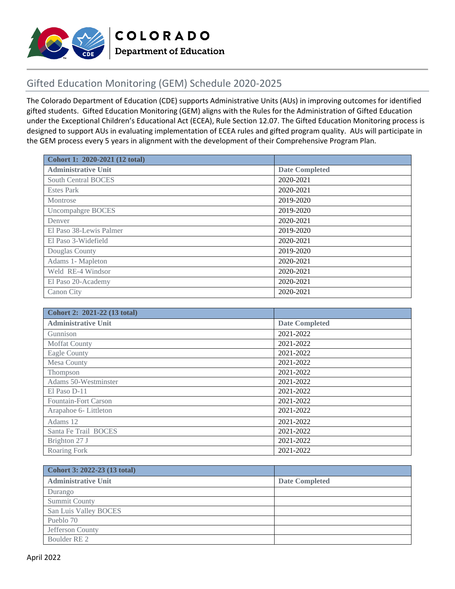

## Gifted Education Monitoring (GEM) Schedule 2020-2025

The Colorado Department of Education (CDE) supports Administrative Units (AUs) in improving outcomes for identified gifted students. Gifted Education Monitoring (GEM) aligns with the Rules for the Administration of Gifted Education under the Exceptional Children's Educational Act (ECEA), Rule Section 12.07. The Gifted Education Monitoring process is designed to support AUs in evaluating implementation of ECEA rules and gifted program quality. AUs will participate in the GEM process every 5 years in alignment with the development of their Comprehensive Program Plan.

| Cohort 1: 2020-2021 (12 total) |                       |
|--------------------------------|-----------------------|
| <b>Administrative Unit</b>     | <b>Date Completed</b> |
| <b>South Central BOCES</b>     | 2020-2021             |
| <b>Estes Park</b>              | 2020-2021             |
| Montrose                       | 2019-2020             |
| <b>Uncompahgre BOCES</b>       | 2019-2020             |
| Denver                         | 2020-2021             |
| El Paso 38-Lewis Palmer        | 2019-2020             |
| El Paso 3-Widefield            | 2020-2021             |
| Douglas County                 | 2019-2020             |
| Adams 1- Mapleton              | 2020-2021             |
| Weld RE-4 Windsor              | 2020-2021             |
| El Paso 20-Academy             | 2020-2021             |
| Canon City                     | 2020-2021             |

| Cohort 2: 2021-22 (13 total) |                       |
|------------------------------|-----------------------|
| <b>Administrative Unit</b>   | <b>Date Completed</b> |
| Gunnison                     | 2021-2022             |
| <b>Moffat County</b>         | 2021-2022             |
| <b>Eagle County</b>          | 2021-2022             |
| Mesa County                  | 2021-2022             |
| Thompson                     | 2021-2022             |
| Adams 50-Westminster         | 2021-2022             |
| El Paso D-11                 | 2021-2022             |
| Fountain-Fort Carson         | 2021-2022             |
| Arapahoe 6- Littleton        | 2021-2022             |
| Adams 12                     | 2021-2022             |
| Santa Fe Trail BOCES         | 2021-2022             |
| Brighton 27 J                | 2021-2022             |
| Roaring Fork                 | 2021-2022             |

| Cohort 3: 2022-23 (13 total) |                       |
|------------------------------|-----------------------|
| <b>Administrative Unit</b>   | <b>Date Completed</b> |
| Durango                      |                       |
| <b>Summit County</b>         |                       |
| San Luis Valley BOCES        |                       |
| Pueblo 70                    |                       |
| Jefferson County             |                       |
| Boulder RE 2                 |                       |